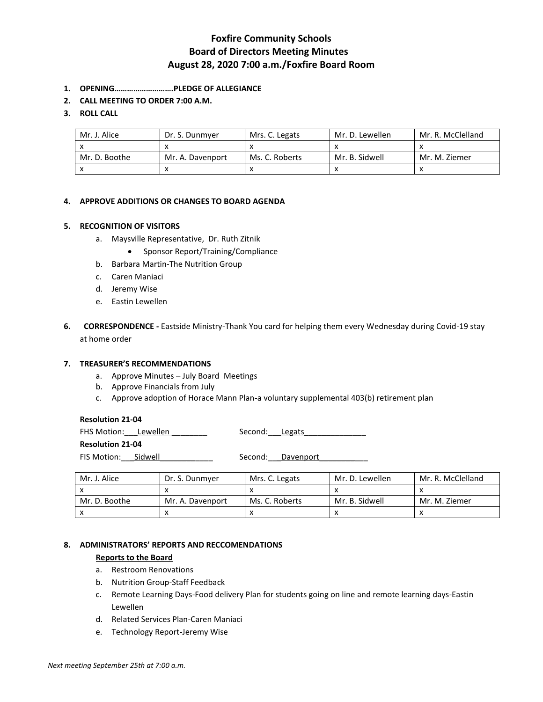# **Foxfire Community Schools Board of Directors Meeting Minutes August 28, 2020 7:00 a.m./Foxfire Board Room**

- **1. OPENING……………………….PLEDGE OF ALLEGIANCE**
- **2. CALL MEETING TO ORDER 7:00 A.M.**

# **3. ROLL CALL**

| Mr. J. Alice  | Dr. S. Dunmver   | Mrs. C. Legats | Mr. D. Lewellen | Mr. R. McClelland |
|---------------|------------------|----------------|-----------------|-------------------|
|               |                  |                |                 |                   |
| Mr. D. Boothe | Mr. A. Davenport | Ms. C. Roberts | Mr. B. Sidwell  | Mr. M. Ziemer     |
|               |                  |                |                 |                   |

# **4. APPROVE ADDITIONS OR CHANGES TO BOARD AGENDA**

#### **5. RECOGNITION OF VISITORS**

- a. Maysville Representative, Dr. Ruth Zitnik
	- Sponsor Report/Training/Compliance
- b. Barbara Martin-The Nutrition Group
- c. Caren Maniaci
- d. Jeremy Wise
- e. Eastin Lewellen
- **6. CORRESPONDENCE -** Eastside Ministry-Thank You card for helping them every Wednesday during Covid-19 stay at home order

#### **7. TREASURER'S RECOMMENDATIONS**

- a. Approve Minutes July Board Meetings
- b. Approve Financials from July
- c. Approve adoption of Horace Mann Plan-a voluntary supplemental 403(b) retirement plan

| <b>Resolution 21-04</b> |  |                |                   |  |  |
|-------------------------|--|----------------|-------------------|--|--|
| FHS Motion: Lewellen    |  | Second: Legats |                   |  |  |
| <b>Resolution 21-04</b> |  |                |                   |  |  |
| FIS Motion: Sidwell     |  |                | Second: Davenport |  |  |

| Mr. J. Alice  | Dr. S. Dunmyer   | Mrs. C. Legats | Mr. D. Lewellen | Mr. R. McClelland |
|---------------|------------------|----------------|-----------------|-------------------|
|               |                  |                |                 |                   |
| Mr. D. Boothe | Mr. A. Davenport | Ms. C. Roberts | Mr. B. Sidwell  | Mr. M. Ziemer     |
|               |                  |                |                 |                   |

# **8. ADMINISTRATORS' REPORTS AND RECCOMENDATIONS**

#### **Reports to the Board**

- a. Restroom Renovations
- b. Nutrition Group-Staff Feedback
- c. Remote Learning Days-Food delivery Plan for students going on line and remote learning days-Eastin Lewellen
- d. Related Services Plan-Caren Maniaci
- e. Technology Report-Jeremy Wise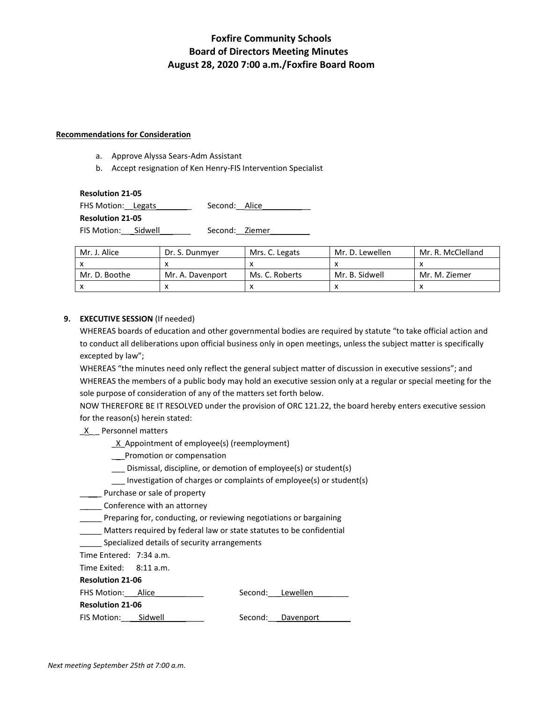# **Foxfire Community Schools Board of Directors Meeting Minutes August 28, 2020 7:00 a.m./Foxfire Board Room**

#### **Recommendations for Consideration**

- a. Approve Alyssa Sears-Adm Assistant
- b. Accept resignation of Ken Henry-FIS Intervention Specialist

#### **Resolution 21-05**

FHS Motion: Legats \_\_\_\_\_\_\_\_ Second: Alice

**Resolution 21-05**

FIS Motion:\_\_\_Sidwell\_\_\_\_\_\_\_ Second:\_\_Ziemer\_\_\_\_\_\_\_\_\_

| Mr. J. Alice  | Dr. S. Dunmver   | Mrs. C. Legats | Mr. D. Lewellen | Mr. R. McClelland |
|---------------|------------------|----------------|-----------------|-------------------|
|               |                  |                |                 |                   |
| Mr. D. Boothe | Mr. A. Davenport | Ms. C. Roberts | Mr. B. Sidwell  | Mr. M. Ziemer     |
|               |                  |                |                 |                   |

# **9. EXECUTIVE SESSION** (If needed)

WHEREAS boards of education and other governmental bodies are required by statute "to take official action and to conduct all deliberations upon official business only in open meetings, unless the subject matter is specifically excepted by law";

WHEREAS "the minutes need only reflect the general subject matter of discussion in executive sessions"; and WHEREAS the members of a public body may hold an executive session only at a regular or special meeting for the sole purpose of consideration of any of the matters set forth below.

NOW THEREFORE BE IT RESOLVED under the provision of ORC 121.22, the board hereby enters executive session for the reason(s) herein stated:

# $X$  Personnel matters

- \_X\_Appointment of employee(s) (reemployment)
- \_\_\_Promotion or compensation
- \_\_\_ Dismissal, discipline, or demotion of employee(s) or student(s)
- \_\_\_ Investigation of charges or complaints of employee(s) or student(s)
- \_\_\_\_\_ Purchase or sale of property
- **\_\_\_\_\_\_** Conference with an attorney
- Preparing for, conducting, or reviewing negotiations or bargaining
- \_\_\_\_\_ Matters required by federal law or state statutes to be confidential
- Specialized details of security arrangements

Time Entered: 7:34 a.m.

Time Exited: 8:11 a.m.

# **Resolution 21-06**

| FHS Motion: Alice       |         | Second: Lewellen  |  |
|-------------------------|---------|-------------------|--|
| <b>Resolution 21-06</b> |         |                   |  |
| FIS Motion:             | Sidwell | Second: Davenport |  |